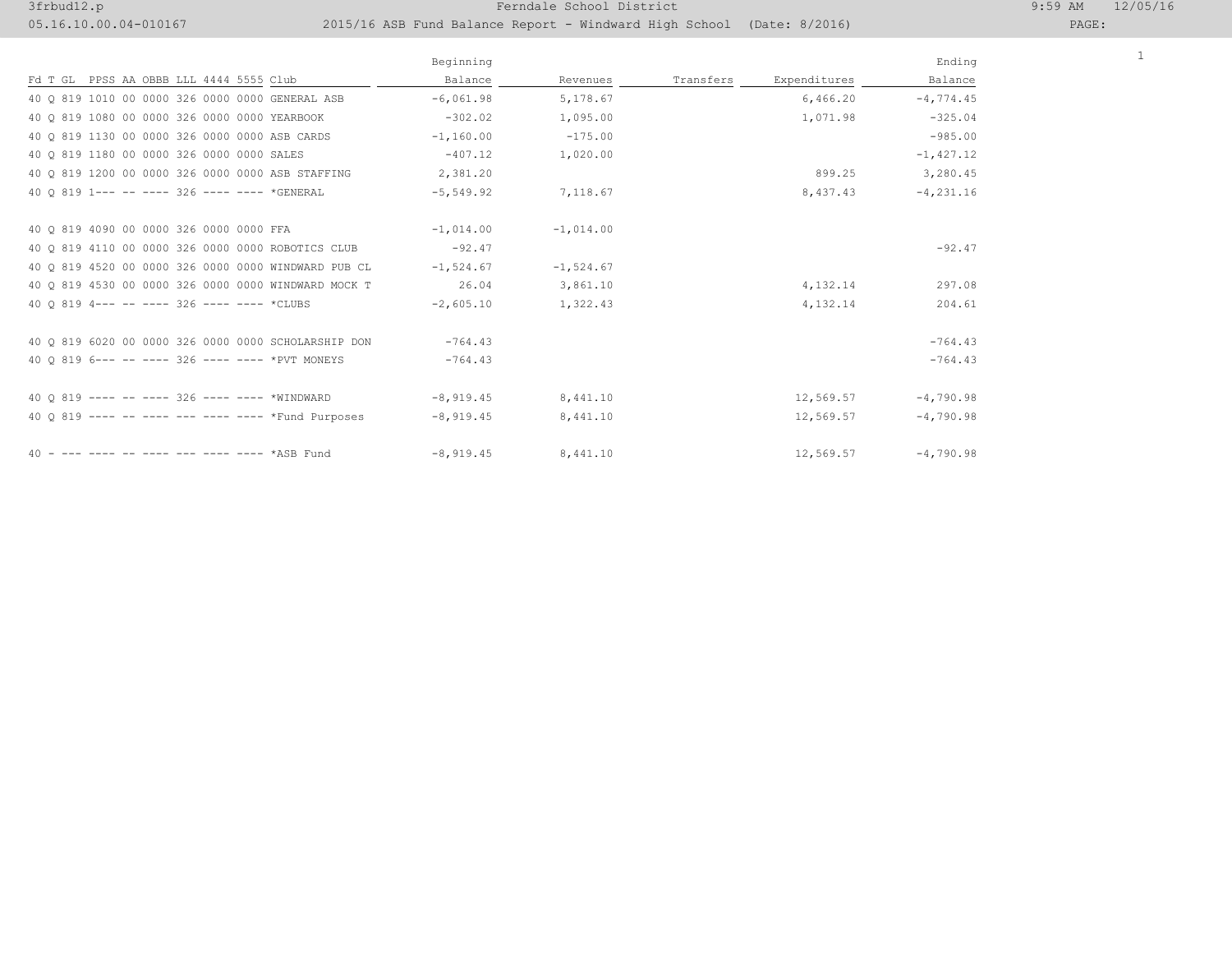## 3frbud12.p 19. The set of the set of the set of the Ferndale School District 19:59 AM 12. The set of the set of the set of the set of the set of the set of the set of the set of the set of the set of the set of the set of

05.16.10.00.04-010167 2015/16 ASB Fund Balance Report - Windward High School (Date: 8/2016)

| $: 99$ AM | 12/05/10 |  |
|-----------|----------|--|
|           |          |  |

| AGE : |  |  |  |  |  |
|-------|--|--|--|--|--|
|-------|--|--|--|--|--|

1

|                                                     | Beginning   |              |           |              | Ending        |
|-----------------------------------------------------|-------------|--------------|-----------|--------------|---------------|
| Fd T GL PPSS AA OBBB LLL 4444 5555 Club             | Balance     | Revenues     | Transfers | Expenditures | Balance       |
| 40 0 819 1010 00 0000 326 0000 0000 GENERAL ASB     | $-6,061.98$ | 5,178.67     |           | 6,466.20     | $-4,774.45$   |
| 40 Q 819 1080 00 0000 326 0000 0000 YEARBOOK        | $-302.02$   | 1,095.00     |           | 1,071.98     | $-325.04$     |
| 40 0 819 1130 00 0000 326 0000 0000 ASB CARDS       | $-1,160.00$ | $-175.00$    |           |              | $-985.00$     |
| 40 0 819 1180 00 0000 326 0000 0000 SALES           | $-407.12$   | 1,020.00     |           |              | $-1,427.12$   |
| 40 0 819 1200 00 0000 326 0000 0000 ASB STAFFING    | 2,381.20    |              |           | 899.25       | 3,280.45      |
| 40 0 819 1 --- -- ---- 326 ---- ---- *GENERAL       | $-5,549.92$ | 7,118.67     |           | 8,437.43     | $-4, 231, 16$ |
|                                                     |             |              |           |              |               |
| 40 0 819 4090 00 0000 326 0000 0000 FFA             | $-1,014.00$ | $-1.014.00$  |           |              |               |
| 40 Q 819 4110 00 0000 326 0000 0000 ROBOTICS CLUB   | $-92.47$    |              |           |              | $-92.47$      |
| 40 0 819 4520 00 0000 326 0000 0000 WINDWARD PUB CL | $-1,524.67$ | $-1, 524.67$ |           |              |               |
| 40 0 819 4530 00 0000 326 0000 0000 WINDWARD MOCK T | 26.04       | 3,861.10     |           | 4,132.14     | 297.08        |
| 40 0 819 4--- -- ---- 326 ---- ---- *CLUBS          | $-2,605.10$ | 1,322.43     |           | 4,132.14     | 204.61        |
|                                                     |             |              |           |              |               |
| 40 0 819 6020 00 0000 326 0000 0000 SCHOLARSHIP DON | $-764.43$   |              |           |              | $-764.43$     |
| 40 0 819 6--- -- ---- 326 ---- ---- *PVT MONEYS     | $-764.43$   |              |           |              | $-764.43$     |
|                                                     |             |              |           |              |               |
| 40 0 819 ---- -- ---- 326 ---- ---- *WINDWARD       | $-8,919.45$ | 8,441.10     |           | 12,569.57    | $-4,790.98$   |
| 40 0 819 ---- -- ---- --- ---- ---- *Fund Purposes  | $-8,919.45$ | 8,441.10     |           | 12,569.57    | $-4,790.98$   |
|                                                     |             |              |           |              |               |
| 40 - --- ---- -- ---- --- ---- ---- *ASB Fund       | $-8,919.45$ | 8,441.10     |           | 12,569.57    | $-4,790.98$   |